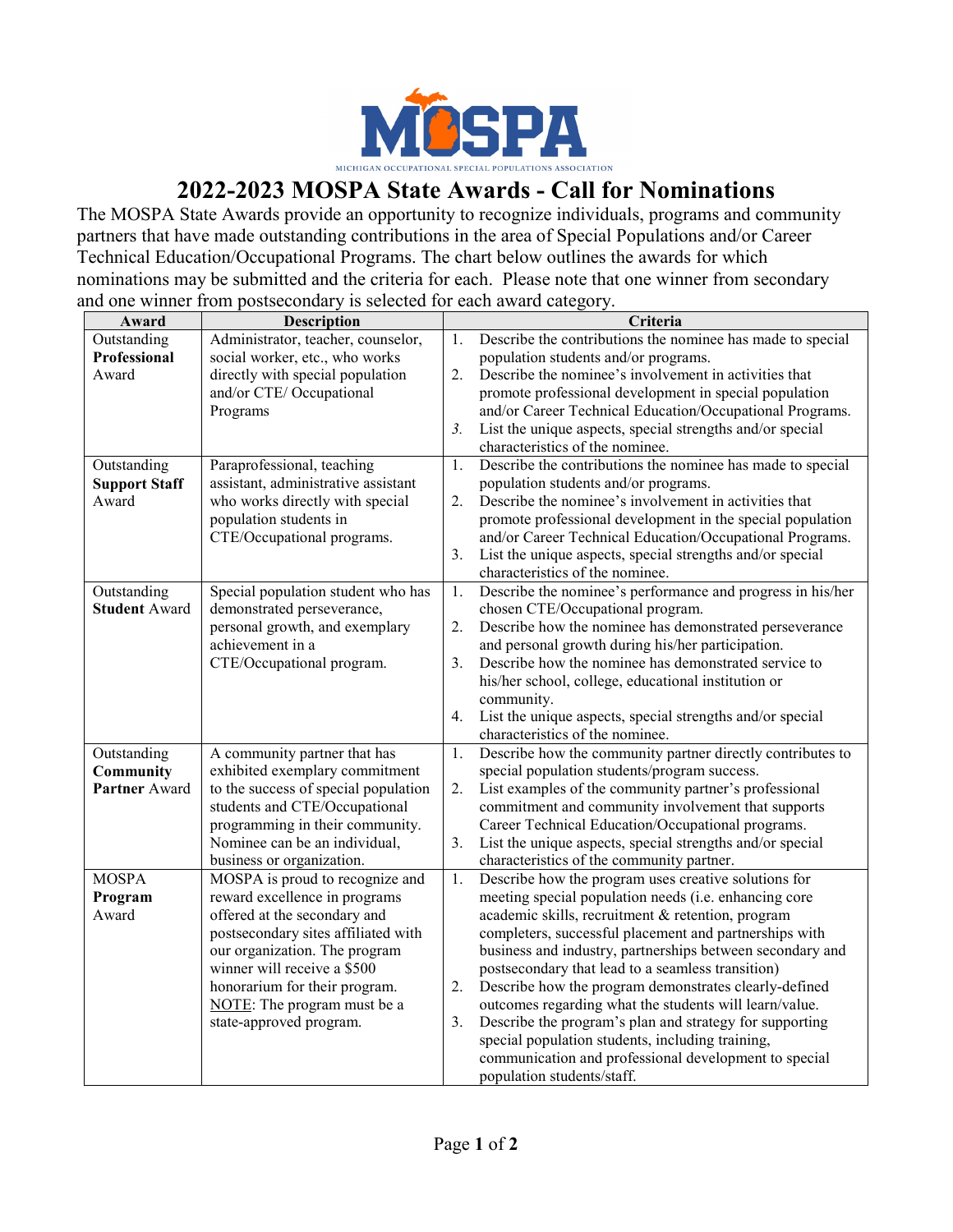

## **2022-2023 MOSPA State Awards - Call for Nominations**

The MOSPA State Awards provide an opportunity to recognize individuals, programs and community partners that have made outstanding contributions in the area of Special Populations and/or Career Technical Education/Occupational Programs. The chart below outlines the awards for which nominations may be submitted and the criteria for each. Please note that one winner from secondary and one winner from postsecondary is selected for each award category.

| Award                                                                                                                | <b>Description</b>                                                                                                                                                                                                                                                                                                                                                                                                                                                                                                                                                                                                                                                                                                                  |                                                          | Criteria                                                                                                                                                                                                                                                                                                                                                                                                                                                                                                                                                                                                                                                                                                                                                                                                                                                                                                                                                                                                                                                                                                                                                                                                                                                                                                                                                                                                                                                                                                                                                                                                                                                                      |  |  |
|----------------------------------------------------------------------------------------------------------------------|-------------------------------------------------------------------------------------------------------------------------------------------------------------------------------------------------------------------------------------------------------------------------------------------------------------------------------------------------------------------------------------------------------------------------------------------------------------------------------------------------------------------------------------------------------------------------------------------------------------------------------------------------------------------------------------------------------------------------------------|----------------------------------------------------------|-------------------------------------------------------------------------------------------------------------------------------------------------------------------------------------------------------------------------------------------------------------------------------------------------------------------------------------------------------------------------------------------------------------------------------------------------------------------------------------------------------------------------------------------------------------------------------------------------------------------------------------------------------------------------------------------------------------------------------------------------------------------------------------------------------------------------------------------------------------------------------------------------------------------------------------------------------------------------------------------------------------------------------------------------------------------------------------------------------------------------------------------------------------------------------------------------------------------------------------------------------------------------------------------------------------------------------------------------------------------------------------------------------------------------------------------------------------------------------------------------------------------------------------------------------------------------------------------------------------------------------------------------------------------------------|--|--|
| Outstanding                                                                                                          | Administrator, teacher, counselor,                                                                                                                                                                                                                                                                                                                                                                                                                                                                                                                                                                                                                                                                                                  | 1.                                                       | Describe the contributions the nominee has made to special                                                                                                                                                                                                                                                                                                                                                                                                                                                                                                                                                                                                                                                                                                                                                                                                                                                                                                                                                                                                                                                                                                                                                                                                                                                                                                                                                                                                                                                                                                                                                                                                                    |  |  |
| Professional                                                                                                         | social worker, etc., who works                                                                                                                                                                                                                                                                                                                                                                                                                                                                                                                                                                                                                                                                                                      |                                                          | population students and/or programs.                                                                                                                                                                                                                                                                                                                                                                                                                                                                                                                                                                                                                                                                                                                                                                                                                                                                                                                                                                                                                                                                                                                                                                                                                                                                                                                                                                                                                                                                                                                                                                                                                                          |  |  |
| Award                                                                                                                | directly with special population                                                                                                                                                                                                                                                                                                                                                                                                                                                                                                                                                                                                                                                                                                    | 2.                                                       | Describe the nominee's involvement in activities that                                                                                                                                                                                                                                                                                                                                                                                                                                                                                                                                                                                                                                                                                                                                                                                                                                                                                                                                                                                                                                                                                                                                                                                                                                                                                                                                                                                                                                                                                                                                                                                                                         |  |  |
|                                                                                                                      | and/or CTE/ Occupational                                                                                                                                                                                                                                                                                                                                                                                                                                                                                                                                                                                                                                                                                                            |                                                          | promote professional development in special population                                                                                                                                                                                                                                                                                                                                                                                                                                                                                                                                                                                                                                                                                                                                                                                                                                                                                                                                                                                                                                                                                                                                                                                                                                                                                                                                                                                                                                                                                                                                                                                                                        |  |  |
|                                                                                                                      | Programs                                                                                                                                                                                                                                                                                                                                                                                                                                                                                                                                                                                                                                                                                                                            |                                                          | and/or Career Technical Education/Occupational Programs.                                                                                                                                                                                                                                                                                                                                                                                                                                                                                                                                                                                                                                                                                                                                                                                                                                                                                                                                                                                                                                                                                                                                                                                                                                                                                                                                                                                                                                                                                                                                                                                                                      |  |  |
|                                                                                                                      |                                                                                                                                                                                                                                                                                                                                                                                                                                                                                                                                                                                                                                                                                                                                     | 3.                                                       | List the unique aspects, special strengths and/or special                                                                                                                                                                                                                                                                                                                                                                                                                                                                                                                                                                                                                                                                                                                                                                                                                                                                                                                                                                                                                                                                                                                                                                                                                                                                                                                                                                                                                                                                                                                                                                                                                     |  |  |
|                                                                                                                      |                                                                                                                                                                                                                                                                                                                                                                                                                                                                                                                                                                                                                                                                                                                                     |                                                          | characteristics of the nominee.                                                                                                                                                                                                                                                                                                                                                                                                                                                                                                                                                                                                                                                                                                                                                                                                                                                                                                                                                                                                                                                                                                                                                                                                                                                                                                                                                                                                                                                                                                                                                                                                                                               |  |  |
| Outstanding                                                                                                          | Paraprofessional, teaching                                                                                                                                                                                                                                                                                                                                                                                                                                                                                                                                                                                                                                                                                                          | 1.                                                       | Describe the contributions the nominee has made to special                                                                                                                                                                                                                                                                                                                                                                                                                                                                                                                                                                                                                                                                                                                                                                                                                                                                                                                                                                                                                                                                                                                                                                                                                                                                                                                                                                                                                                                                                                                                                                                                                    |  |  |
| <b>Support Staff</b>                                                                                                 | assistant, administrative assistant                                                                                                                                                                                                                                                                                                                                                                                                                                                                                                                                                                                                                                                                                                 |                                                          | population students and/or programs.                                                                                                                                                                                                                                                                                                                                                                                                                                                                                                                                                                                                                                                                                                                                                                                                                                                                                                                                                                                                                                                                                                                                                                                                                                                                                                                                                                                                                                                                                                                                                                                                                                          |  |  |
| Award                                                                                                                | who works directly with special                                                                                                                                                                                                                                                                                                                                                                                                                                                                                                                                                                                                                                                                                                     | 2.                                                       | Describe the nominee's involvement in activities that                                                                                                                                                                                                                                                                                                                                                                                                                                                                                                                                                                                                                                                                                                                                                                                                                                                                                                                                                                                                                                                                                                                                                                                                                                                                                                                                                                                                                                                                                                                                                                                                                         |  |  |
|                                                                                                                      | population students in                                                                                                                                                                                                                                                                                                                                                                                                                                                                                                                                                                                                                                                                                                              |                                                          | promote professional development in the special population                                                                                                                                                                                                                                                                                                                                                                                                                                                                                                                                                                                                                                                                                                                                                                                                                                                                                                                                                                                                                                                                                                                                                                                                                                                                                                                                                                                                                                                                                                                                                                                                                    |  |  |
|                                                                                                                      |                                                                                                                                                                                                                                                                                                                                                                                                                                                                                                                                                                                                                                                                                                                                     |                                                          |                                                                                                                                                                                                                                                                                                                                                                                                                                                                                                                                                                                                                                                                                                                                                                                                                                                                                                                                                                                                                                                                                                                                                                                                                                                                                                                                                                                                                                                                                                                                                                                                                                                                               |  |  |
|                                                                                                                      |                                                                                                                                                                                                                                                                                                                                                                                                                                                                                                                                                                                                                                                                                                                                     | 3.                                                       |                                                                                                                                                                                                                                                                                                                                                                                                                                                                                                                                                                                                                                                                                                                                                                                                                                                                                                                                                                                                                                                                                                                                                                                                                                                                                                                                                                                                                                                                                                                                                                                                                                                                               |  |  |
|                                                                                                                      |                                                                                                                                                                                                                                                                                                                                                                                                                                                                                                                                                                                                                                                                                                                                     |                                                          |                                                                                                                                                                                                                                                                                                                                                                                                                                                                                                                                                                                                                                                                                                                                                                                                                                                                                                                                                                                                                                                                                                                                                                                                                                                                                                                                                                                                                                                                                                                                                                                                                                                                               |  |  |
|                                                                                                                      |                                                                                                                                                                                                                                                                                                                                                                                                                                                                                                                                                                                                                                                                                                                                     |                                                          |                                                                                                                                                                                                                                                                                                                                                                                                                                                                                                                                                                                                                                                                                                                                                                                                                                                                                                                                                                                                                                                                                                                                                                                                                                                                                                                                                                                                                                                                                                                                                                                                                                                                               |  |  |
|                                                                                                                      |                                                                                                                                                                                                                                                                                                                                                                                                                                                                                                                                                                                                                                                                                                                                     |                                                          |                                                                                                                                                                                                                                                                                                                                                                                                                                                                                                                                                                                                                                                                                                                                                                                                                                                                                                                                                                                                                                                                                                                                                                                                                                                                                                                                                                                                                                                                                                                                                                                                                                                                               |  |  |
|                                                                                                                      |                                                                                                                                                                                                                                                                                                                                                                                                                                                                                                                                                                                                                                                                                                                                     |                                                          |                                                                                                                                                                                                                                                                                                                                                                                                                                                                                                                                                                                                                                                                                                                                                                                                                                                                                                                                                                                                                                                                                                                                                                                                                                                                                                                                                                                                                                                                                                                                                                                                                                                                               |  |  |
|                                                                                                                      |                                                                                                                                                                                                                                                                                                                                                                                                                                                                                                                                                                                                                                                                                                                                     |                                                          |                                                                                                                                                                                                                                                                                                                                                                                                                                                                                                                                                                                                                                                                                                                                                                                                                                                                                                                                                                                                                                                                                                                                                                                                                                                                                                                                                                                                                                                                                                                                                                                                                                                                               |  |  |
|                                                                                                                      |                                                                                                                                                                                                                                                                                                                                                                                                                                                                                                                                                                                                                                                                                                                                     |                                                          |                                                                                                                                                                                                                                                                                                                                                                                                                                                                                                                                                                                                                                                                                                                                                                                                                                                                                                                                                                                                                                                                                                                                                                                                                                                                                                                                                                                                                                                                                                                                                                                                                                                                               |  |  |
|                                                                                                                      |                                                                                                                                                                                                                                                                                                                                                                                                                                                                                                                                                                                                                                                                                                                                     |                                                          |                                                                                                                                                                                                                                                                                                                                                                                                                                                                                                                                                                                                                                                                                                                                                                                                                                                                                                                                                                                                                                                                                                                                                                                                                                                                                                                                                                                                                                                                                                                                                                                                                                                                               |  |  |
|                                                                                                                      |                                                                                                                                                                                                                                                                                                                                                                                                                                                                                                                                                                                                                                                                                                                                     |                                                          |                                                                                                                                                                                                                                                                                                                                                                                                                                                                                                                                                                                                                                                                                                                                                                                                                                                                                                                                                                                                                                                                                                                                                                                                                                                                                                                                                                                                                                                                                                                                                                                                                                                                               |  |  |
|                                                                                                                      |                                                                                                                                                                                                                                                                                                                                                                                                                                                                                                                                                                                                                                                                                                                                     |                                                          |                                                                                                                                                                                                                                                                                                                                                                                                                                                                                                                                                                                                                                                                                                                                                                                                                                                                                                                                                                                                                                                                                                                                                                                                                                                                                                                                                                                                                                                                                                                                                                                                                                                                               |  |  |
|                                                                                                                      |                                                                                                                                                                                                                                                                                                                                                                                                                                                                                                                                                                                                                                                                                                                                     |                                                          |                                                                                                                                                                                                                                                                                                                                                                                                                                                                                                                                                                                                                                                                                                                                                                                                                                                                                                                                                                                                                                                                                                                                                                                                                                                                                                                                                                                                                                                                                                                                                                                                                                                                               |  |  |
|                                                                                                                      |                                                                                                                                                                                                                                                                                                                                                                                                                                                                                                                                                                                                                                                                                                                                     |                                                          |                                                                                                                                                                                                                                                                                                                                                                                                                                                                                                                                                                                                                                                                                                                                                                                                                                                                                                                                                                                                                                                                                                                                                                                                                                                                                                                                                                                                                                                                                                                                                                                                                                                                               |  |  |
|                                                                                                                      |                                                                                                                                                                                                                                                                                                                                                                                                                                                                                                                                                                                                                                                                                                                                     |                                                          |                                                                                                                                                                                                                                                                                                                                                                                                                                                                                                                                                                                                                                                                                                                                                                                                                                                                                                                                                                                                                                                                                                                                                                                                                                                                                                                                                                                                                                                                                                                                                                                                                                                                               |  |  |
|                                                                                                                      |                                                                                                                                                                                                                                                                                                                                                                                                                                                                                                                                                                                                                                                                                                                                     |                                                          |                                                                                                                                                                                                                                                                                                                                                                                                                                                                                                                                                                                                                                                                                                                                                                                                                                                                                                                                                                                                                                                                                                                                                                                                                                                                                                                                                                                                                                                                                                                                                                                                                                                                               |  |  |
|                                                                                                                      |                                                                                                                                                                                                                                                                                                                                                                                                                                                                                                                                                                                                                                                                                                                                     |                                                          |                                                                                                                                                                                                                                                                                                                                                                                                                                                                                                                                                                                                                                                                                                                                                                                                                                                                                                                                                                                                                                                                                                                                                                                                                                                                                                                                                                                                                                                                                                                                                                                                                                                                               |  |  |
|                                                                                                                      |                                                                                                                                                                                                                                                                                                                                                                                                                                                                                                                                                                                                                                                                                                                                     |                                                          |                                                                                                                                                                                                                                                                                                                                                                                                                                                                                                                                                                                                                                                                                                                                                                                                                                                                                                                                                                                                                                                                                                                                                                                                                                                                                                                                                                                                                                                                                                                                                                                                                                                                               |  |  |
|                                                                                                                      |                                                                                                                                                                                                                                                                                                                                                                                                                                                                                                                                                                                                                                                                                                                                     |                                                          |                                                                                                                                                                                                                                                                                                                                                                                                                                                                                                                                                                                                                                                                                                                                                                                                                                                                                                                                                                                                                                                                                                                                                                                                                                                                                                                                                                                                                                                                                                                                                                                                                                                                               |  |  |
|                                                                                                                      |                                                                                                                                                                                                                                                                                                                                                                                                                                                                                                                                                                                                                                                                                                                                     |                                                          |                                                                                                                                                                                                                                                                                                                                                                                                                                                                                                                                                                                                                                                                                                                                                                                                                                                                                                                                                                                                                                                                                                                                                                                                                                                                                                                                                                                                                                                                                                                                                                                                                                                                               |  |  |
|                                                                                                                      |                                                                                                                                                                                                                                                                                                                                                                                                                                                                                                                                                                                                                                                                                                                                     |                                                          |                                                                                                                                                                                                                                                                                                                                                                                                                                                                                                                                                                                                                                                                                                                                                                                                                                                                                                                                                                                                                                                                                                                                                                                                                                                                                                                                                                                                                                                                                                                                                                                                                                                                               |  |  |
|                                                                                                                      |                                                                                                                                                                                                                                                                                                                                                                                                                                                                                                                                                                                                                                                                                                                                     |                                                          |                                                                                                                                                                                                                                                                                                                                                                                                                                                                                                                                                                                                                                                                                                                                                                                                                                                                                                                                                                                                                                                                                                                                                                                                                                                                                                                                                                                                                                                                                                                                                                                                                                                                               |  |  |
|                                                                                                                      |                                                                                                                                                                                                                                                                                                                                                                                                                                                                                                                                                                                                                                                                                                                                     |                                                          |                                                                                                                                                                                                                                                                                                                                                                                                                                                                                                                                                                                                                                                                                                                                                                                                                                                                                                                                                                                                                                                                                                                                                                                                                                                                                                                                                                                                                                                                                                                                                                                                                                                                               |  |  |
|                                                                                                                      |                                                                                                                                                                                                                                                                                                                                                                                                                                                                                                                                                                                                                                                                                                                                     |                                                          |                                                                                                                                                                                                                                                                                                                                                                                                                                                                                                                                                                                                                                                                                                                                                                                                                                                                                                                                                                                                                                                                                                                                                                                                                                                                                                                                                                                                                                                                                                                                                                                                                                                                               |  |  |
|                                                                                                                      |                                                                                                                                                                                                                                                                                                                                                                                                                                                                                                                                                                                                                                                                                                                                     |                                                          |                                                                                                                                                                                                                                                                                                                                                                                                                                                                                                                                                                                                                                                                                                                                                                                                                                                                                                                                                                                                                                                                                                                                                                                                                                                                                                                                                                                                                                                                                                                                                                                                                                                                               |  |  |
|                                                                                                                      |                                                                                                                                                                                                                                                                                                                                                                                                                                                                                                                                                                                                                                                                                                                                     |                                                          |                                                                                                                                                                                                                                                                                                                                                                                                                                                                                                                                                                                                                                                                                                                                                                                                                                                                                                                                                                                                                                                                                                                                                                                                                                                                                                                                                                                                                                                                                                                                                                                                                                                                               |  |  |
|                                                                                                                      |                                                                                                                                                                                                                                                                                                                                                                                                                                                                                                                                                                                                                                                                                                                                     |                                                          |                                                                                                                                                                                                                                                                                                                                                                                                                                                                                                                                                                                                                                                                                                                                                                                                                                                                                                                                                                                                                                                                                                                                                                                                                                                                                                                                                                                                                                                                                                                                                                                                                                                                               |  |  |
|                                                                                                                      |                                                                                                                                                                                                                                                                                                                                                                                                                                                                                                                                                                                                                                                                                                                                     |                                                          |                                                                                                                                                                                                                                                                                                                                                                                                                                                                                                                                                                                                                                                                                                                                                                                                                                                                                                                                                                                                                                                                                                                                                                                                                                                                                                                                                                                                                                                                                                                                                                                                                                                                               |  |  |
|                                                                                                                      |                                                                                                                                                                                                                                                                                                                                                                                                                                                                                                                                                                                                                                                                                                                                     |                                                          |                                                                                                                                                                                                                                                                                                                                                                                                                                                                                                                                                                                                                                                                                                                                                                                                                                                                                                                                                                                                                                                                                                                                                                                                                                                                                                                                                                                                                                                                                                                                                                                                                                                                               |  |  |
|                                                                                                                      |                                                                                                                                                                                                                                                                                                                                                                                                                                                                                                                                                                                                                                                                                                                                     |                                                          |                                                                                                                                                                                                                                                                                                                                                                                                                                                                                                                                                                                                                                                                                                                                                                                                                                                                                                                                                                                                                                                                                                                                                                                                                                                                                                                                                                                                                                                                                                                                                                                                                                                                               |  |  |
|                                                                                                                      |                                                                                                                                                                                                                                                                                                                                                                                                                                                                                                                                                                                                                                                                                                                                     |                                                          |                                                                                                                                                                                                                                                                                                                                                                                                                                                                                                                                                                                                                                                                                                                                                                                                                                                                                                                                                                                                                                                                                                                                                                                                                                                                                                                                                                                                                                                                                                                                                                                                                                                                               |  |  |
| Outstanding<br><b>Student Award</b><br>Outstanding<br>Community<br>Partner Award<br><b>MOSPA</b><br>Program<br>Award | CTE/Occupational programs.<br>Special population student who has<br>demonstrated perseverance,<br>personal growth, and exemplary<br>achievement in a<br>CTE/Occupational program.<br>A community partner that has<br>exhibited exemplary commitment<br>to the success of special population<br>students and CTE/Occupational<br>programming in their community.<br>Nominee can be an individual,<br>business or organization.<br>MOSPA is proud to recognize and<br>reward excellence in programs<br>offered at the secondary and<br>postsecondary sites affiliated with<br>our organization. The program<br>winner will receive a \$500<br>honorarium for their program.<br>NOTE: The program must be a<br>state-approved program. | 1.<br>2.<br>3.<br>4.<br>1.<br>2.<br>3.<br>1.<br>2.<br>3. | and/or Career Technical Education/Occupational Programs.<br>List the unique aspects, special strengths and/or special<br>characteristics of the nominee.<br>Describe the nominee's performance and progress in his/her<br>chosen CTE/Occupational program.<br>Describe how the nominee has demonstrated perseverance<br>and personal growth during his/her participation.<br>Describe how the nominee has demonstrated service to<br>his/her school, college, educational institution or<br>community.<br>List the unique aspects, special strengths and/or special<br>characteristics of the nominee.<br>Describe how the community partner directly contributes to<br>special population students/program success.<br>List examples of the community partner's professional<br>commitment and community involvement that supports<br>Career Technical Education/Occupational programs.<br>List the unique aspects, special strengths and/or special<br>characteristics of the community partner.<br>Describe how the program uses creative solutions for<br>meeting special population needs (i.e. enhancing core<br>academic skills, recruitment & retention, program<br>completers, successful placement and partnerships with<br>business and industry, partnerships between secondary and<br>postsecondary that lead to a seamless transition)<br>Describe how the program demonstrates clearly-defined<br>outcomes regarding what the students will learn/value.<br>Describe the program's plan and strategy for supporting<br>special population students, including training,<br>communication and professional development to special<br>population students/staff. |  |  |